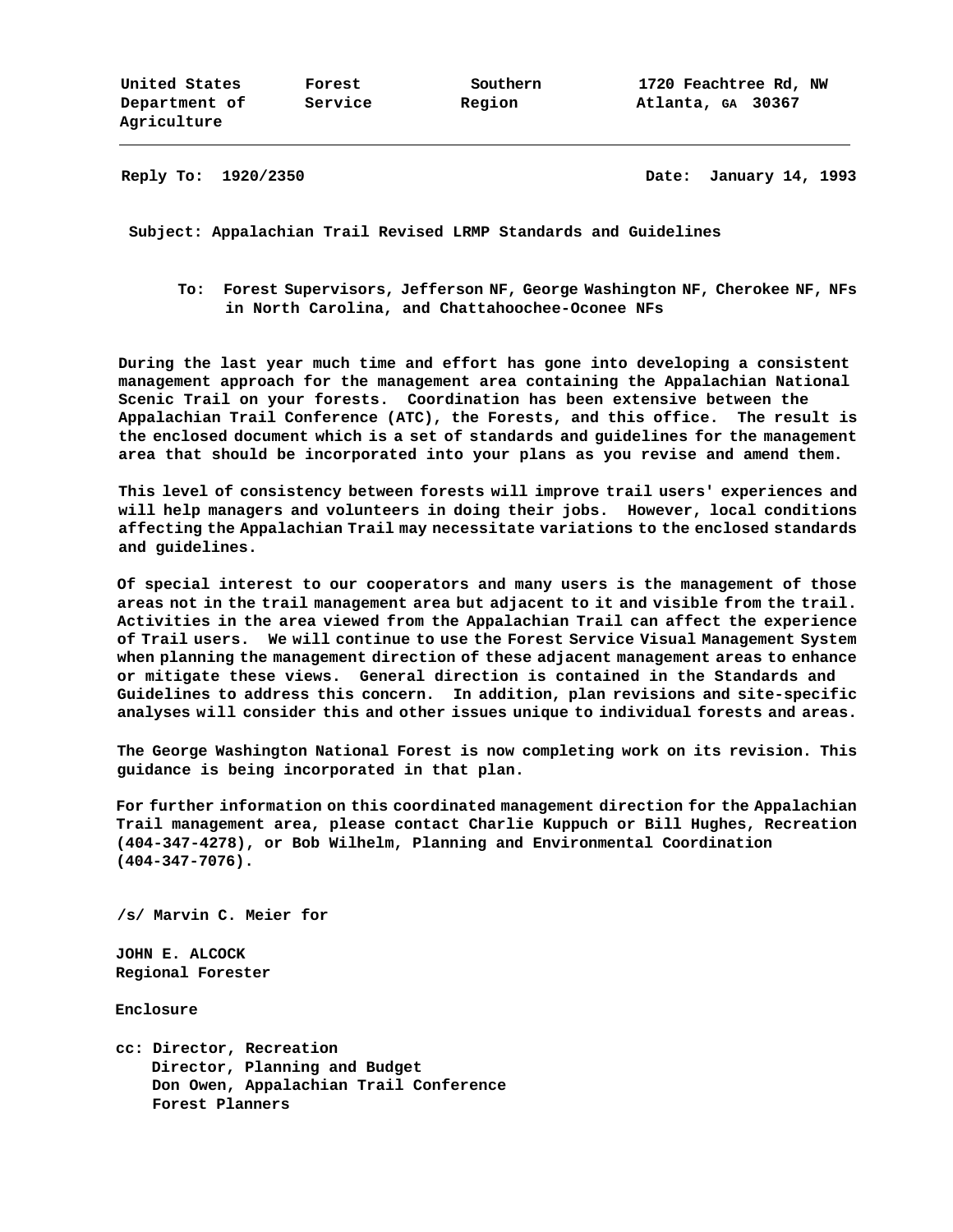**Reply To: 1920/2350 Date: January 14, 1993**

**Subject: Appalachian Trail Revised LRMP Standards and Guidelines**

**To: Forest Supervisors, Jefferson NF, George Washington NF, Cherokee NF, NFs in North Carolina, and Chattahoochee-Oconee NFs**

**During the last year much time and effort has gone into developing a consistent management approach for the management area containing the Appalachian National Scenic Trail on your forests. Coordination has been extensive between the Appalachian Trail Conference (ATC), the Forests, and this office. The result is the enclosed document which is a set of standards and guidelines for the management area that should be incorporated into your plans as you revise and amend them.**

**This level of consistency between forests will improve trail users' experiences and will help managers and volunteers in doing their jobs. However, local conditions affecting the Appalachian Trail may necessitate variations to the enclosed standards and guidelines.**

**Of special interest to our cooperators and many users is the management of those areas not in the trail management area but adjacent to it and visible from the trail. Activities in the area viewed from the Appalachian Trail can affect the experience of Trail users. We will continue to use the Forest Service Visual Management System when planning the management direction of these adjacent management areas to enhance or mitigate these views. General direction is contained in the Standards and Guidelines to address this concern. In addition, plan revisions and site-specific analyses will consider this and other issues unique to individual forests and areas.**

**The George Washington National Forest is now completing work on its revision. This guidance is being incorporated in that plan.**

**For further information on this coordinated management direction for the Appalachian Trail management area, please contact Charlie Kuppuch or Bill Hughes, Recreation (404-347-4278), or Bob Wilhelm, Planning and Environmental Coordination (404-347-7076).**

**/s/ Marvin C. Meier for**

**JOHN E. ALCOCK Regional Forester**

**Enclosure**

**cc: Director, Recreation Director, Planning and Budget Don Owen, Appalachian Trail Conference Forest Planners**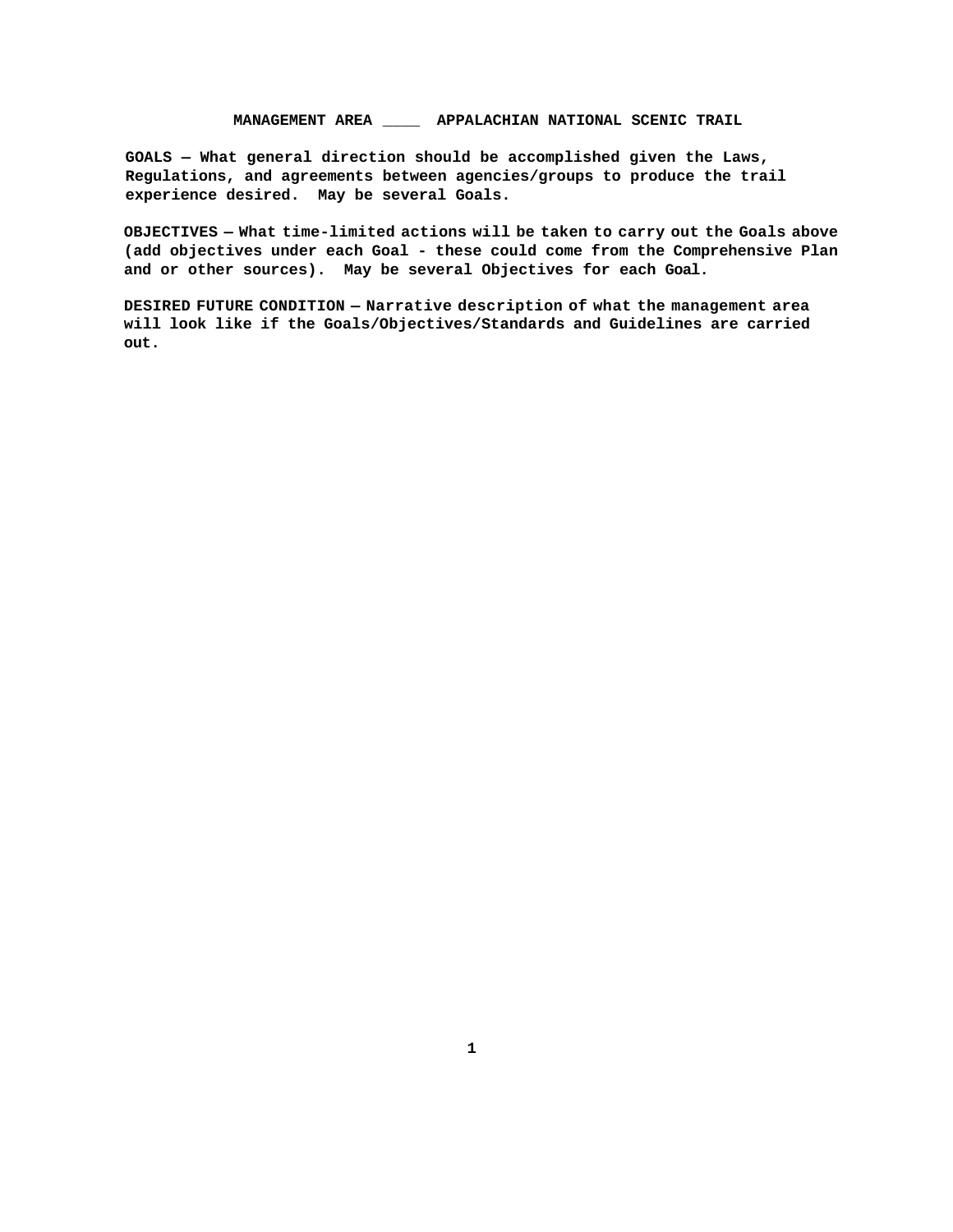# **MANAGEMENT AREA \_\_\_\_ APPALACHIAN NATIONAL SCENIC TRAIL**

**GOALS — What general direction should be accomplished given the Laws, Regulations, and agreements between agencies/groups to produce the trail experience desired. May be several Goals.**

**OBJECTIVES — What time-limited actions will be taken to carry out the Goals above (add objectives under each Goal - these could come from the Comprehensive Plan and or other sources). May be several Objectives for each Goal.**

**DESIRED FUTURE CONDITION — Narrative description of what the management area will look like if the Goals/Objectives/Standards and Guidelines are carried out.**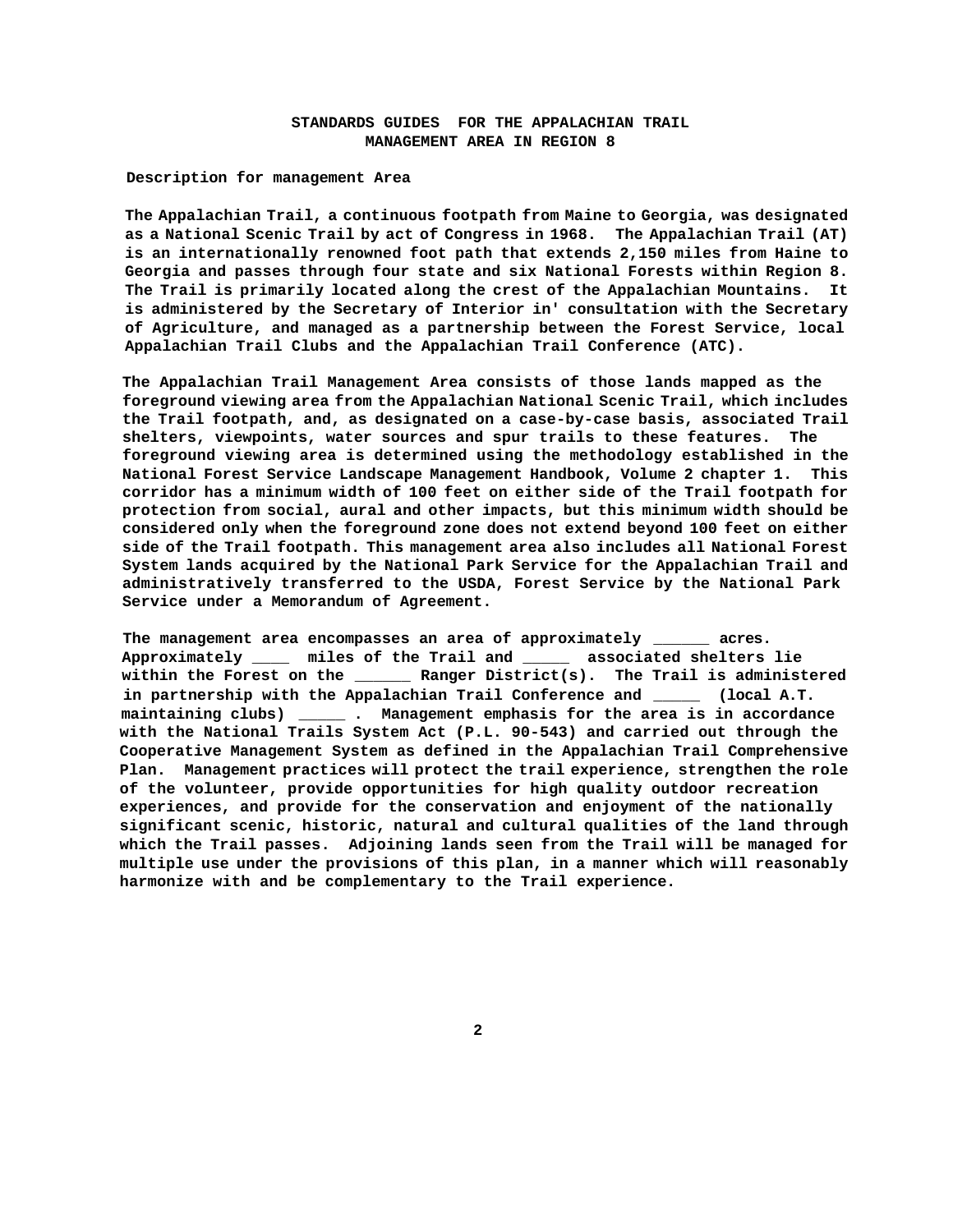## **STANDARDS GUIDES FOR THE APPALACHIAN TRAIL MANAGEMENT AREA IN REGION 8**

**Description for management Area**

**The Appalachian Trail, a continuous footpath from Maine to Georgia, was designated as a National Scenic Trail by act of Congress in 1968. The Appalachian Trail (AT) is an internationally renowned foot path that extends 2,150 miles from Haine to Georgia and passes through four state and six National Forests within Region 8. The Trail is primarily located along the crest of the Appalachian Mountains. It is administered by the Secretary of Interior in' consultation with the Secretary of Agriculture, and managed as a partnership between the Forest Service, local Appalachian Trail Clubs and the Appalachian Trail Conference (ATC).**

**The Appalachian Trail Management Area consists of those lands mapped as the foreground viewing area from the Appalachian National Scenic Trail, which includes the Trail footpath, and, as designated on a case-by-case basis, associated Trail shelters, viewpoints, water sources and spur trails to these features. The foreground viewing area is determined using the methodology established in the National Forest Service Landscape Management Handbook, Volume 2 chapter 1. This corridor has a minimum width of 100 feet on either side of the Trail footpath for protection from social, aural and other impacts, but this minimum width should be considered only when the foreground zone does not extend beyond 100 feet on either side of the Trail footpath. This management area also includes all National Forest System lands acquired by the National Park Service for the Appalachian Trail and administratively transferred to the USDA, Forest Service by the National Park Service under a Memorandum of Agreement.**

**The management area encompasses an area of approximately \_\_\_\_\_\_ acres. Approximately \_\_\_\_ miles of the Trail and \_\_\_\_\_ associated shelters lie within the Forest on the \_\_\_\_\_\_ Ranger District(s). The Trail is administered in partnership with the Appalachian Trail Conference and \_\_\_\_\_ (local A.T. maintaining clubs) \_\_\_\_\_ . Management emphasis for the area is in accordance with the National Trails System Act (P.L. 90-543) and carried out through the Cooperative Management System as defined in the Appalachian Trail Comprehensive Plan. Management practices will protect the trail experience, strengthen the role of the volunteer, provide opportunities for high quality outdoor recreation experiences, and provide for the conservation and enjoyment of the nationally significant scenic, historic, natural and cultural qualities of the land through which the Trail passes. Adjoining lands seen from the Trail will be managed for multiple use under the provisions of this plan, in a manner which will reasonably harmonize with and be complementary to the Trail experience.**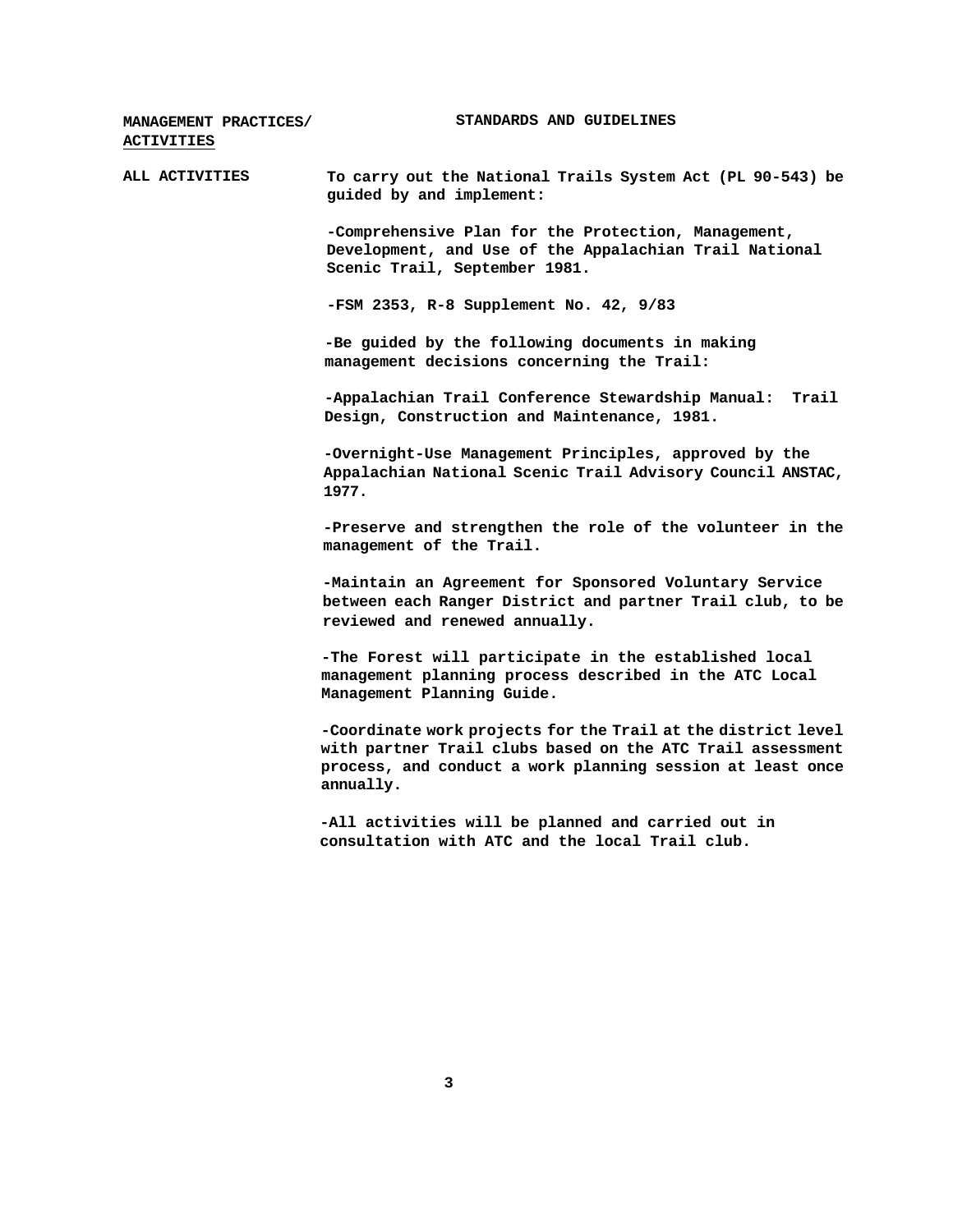| MANAGEMENT PRACTICES/<br><b>ACTIVITIES</b> | STANDARDS AND GUIDELINES                                                                                                                                                                               |
|--------------------------------------------|--------------------------------------------------------------------------------------------------------------------------------------------------------------------------------------------------------|
| ALL ACTIVITIES                             | To carry out the National Trails System Act (PL 90-543) be<br>guided by and implement:                                                                                                                 |
|                                            | -Comprehensive Plan for the Protection, Management,<br>Development, and Use of the Appalachian Trail National<br>Scenic Trail, September 1981.                                                         |
|                                            | $-FSM$ 2353, R-8 Supplement No. 42, 9/83                                                                                                                                                               |
|                                            | -Be guided by the following documents in making<br>management decisions concerning the Trail:                                                                                                          |
|                                            | Trail<br>-Appalachian Trail Conference Stewardship Manual:<br>Design, Construction and Maintenance, 1981.                                                                                              |
|                                            | -Overnight-Use Management Principles, approved by the<br>Appalachian National Scenic Trail Advisory Council ANSTAC,<br>1977.                                                                           |
|                                            | -Preserve and strengthen the role of the volunteer in the<br>management of the Trail.                                                                                                                  |
|                                            | -Maintain an Agreement for Sponsored Voluntary Service<br>between each Ranger District and partner Trail club, to be<br>reviewed and renewed annually.                                                 |
|                                            | -The Forest will participate in the established local<br>management planning process described in the ATC Local<br>Management Planning Guide.                                                          |
|                                            | -Coordinate work projects for the Trail at the district level<br>with partner Trail clubs based on the ATC Trail assessment<br>process, and conduct a work planning session at least once<br>annually. |
|                                            | -All activities will be planned and carried out in<br>consultation with ATC and the local Trail club.                                                                                                  |
|                                            |                                                                                                                                                                                                        |
|                                            |                                                                                                                                                                                                        |
|                                            |                                                                                                                                                                                                        |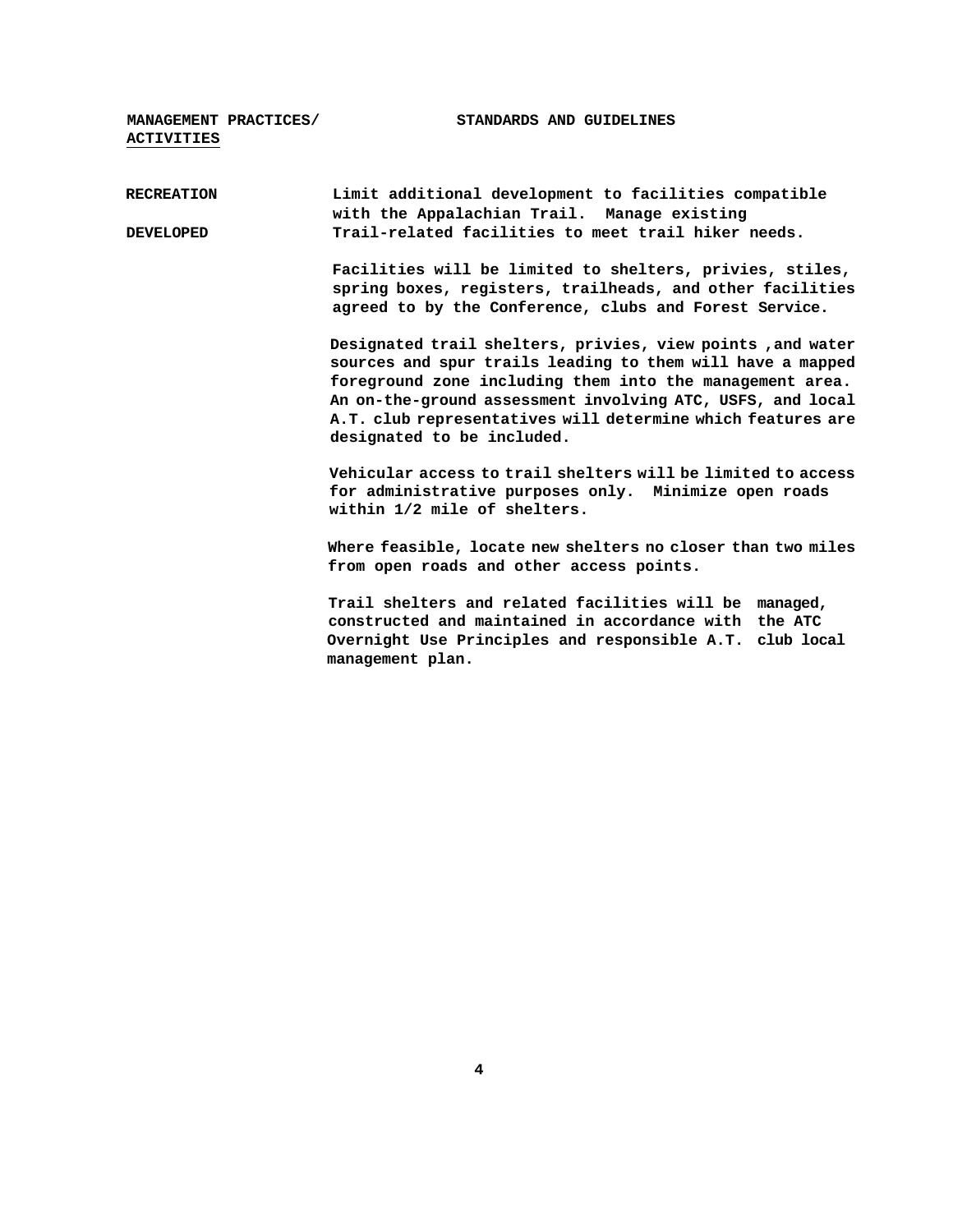**MANAGEMENT PRACTICES/ STANDARDS AND GUIDELINES ACTIVITIES RECREATION Limit additional development to facilities compatible with the Appalachian Trail. Manage existing DEVELOPED Trail-related facilities to meet trail hiker needs. Facilities will be limited to shelters, privies, stiles, spring boxes, registers, trailheads, and other facilities** 

> **Designated trail shelters, privies, view points ,and water sources and spur trails leading to them will have a mapped foreground zone including them into the management area. An on-the-ground assessment involving ATC, USFS, and local A.T. club representatives will determine which features are designated to be included.**

**agreed to by the Conference, clubs and Forest Service.**

**Vehicular access to trail shelters will be limited to access for administrative purposes only. Minimize open roads within 1/2 mile of shelters.**

**Where feasible, locate new shelters no closer than two miles from open roads and other access points.**

**Trail shelters and related facilities will be managed, constructed and maintained in accordance with the ATC Overnight Use Principles and responsible A.T. club local management plan.**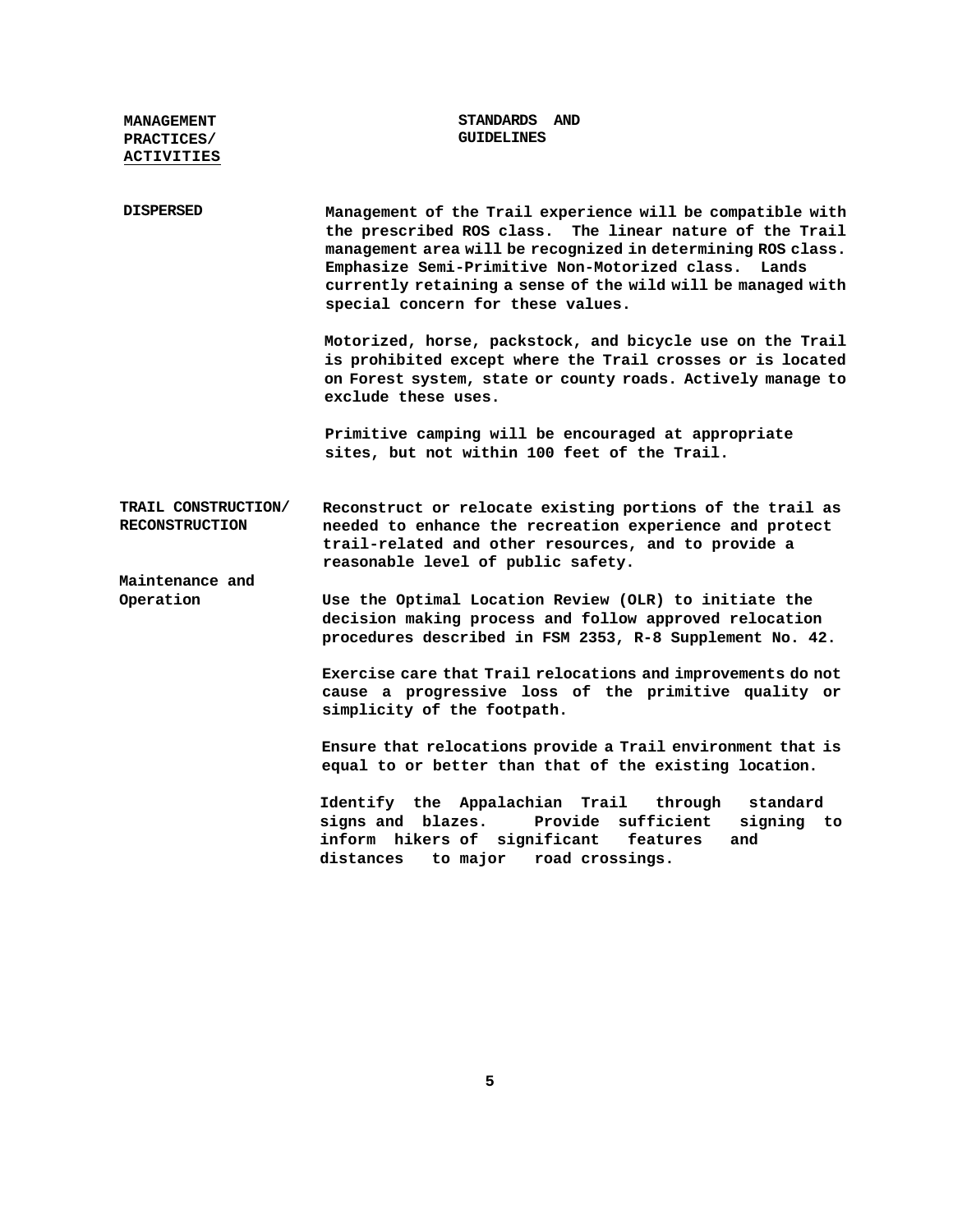| <b>MANAGEMENT</b><br>PRACTICES/<br><b>ACTIVITIES</b> | STANDARDS AND<br><b>GUIDELINES</b>                                                                                                                                                                                                                                                                                                                    |
|------------------------------------------------------|-------------------------------------------------------------------------------------------------------------------------------------------------------------------------------------------------------------------------------------------------------------------------------------------------------------------------------------------------------|
| <b>DISPERSED</b>                                     | Management of the Trail experience will be compatible with<br>the prescribed ROS class.<br>The linear nature of the Trail<br>management area will be recognized in determining ROS class.<br>Emphasize Semi-Primitive Non-Motorized class. Lands<br>currently retaining a sense of the wild will be managed with<br>special concern for these values. |
|                                                      | Motorized, horse, packstock, and bicycle use on the Trail<br>is prohibited except where the Trail crosses or is located<br>on Forest system, state or county roads. Actively manage to<br>exclude these uses.                                                                                                                                         |
|                                                      | Primitive camping will be encouraged at appropriate<br>sites, but not within 100 feet of the Trail.                                                                                                                                                                                                                                                   |
| TRAIL CONSTRUCTION/<br><b>RECONSTRUCTION</b>         | Reconstruct or relocate existing portions of the trail as<br>needed to enhance the recreation experience and protect<br>trail-related and other resources, and to provide a<br>reasonable level of public safety.                                                                                                                                     |
| Maintenance and<br>Operation                         | Use the Optimal Location Review (OLR) to initiate the<br>decision making process and follow approved relocation<br>procedures described in FSM 2353, R-8 Supplement No. 42.                                                                                                                                                                           |
|                                                      | Exercise care that Trail relocations and improvements do not<br>cause a progressive loss of the primitive quality or<br>simplicity of the footpath.                                                                                                                                                                                                   |
|                                                      | Ensure that relocations provide a Trail environment that is<br>equal to or better than that of the existing location.                                                                                                                                                                                                                                 |
|                                                      | Identify the Appalachian Trail through<br>standard<br>Provide sufficient<br>signs and blazes.<br>signing to<br>inform hikers of significant<br>and<br>features<br>distances<br>to major road crossings.                                                                                                                                               |

**5**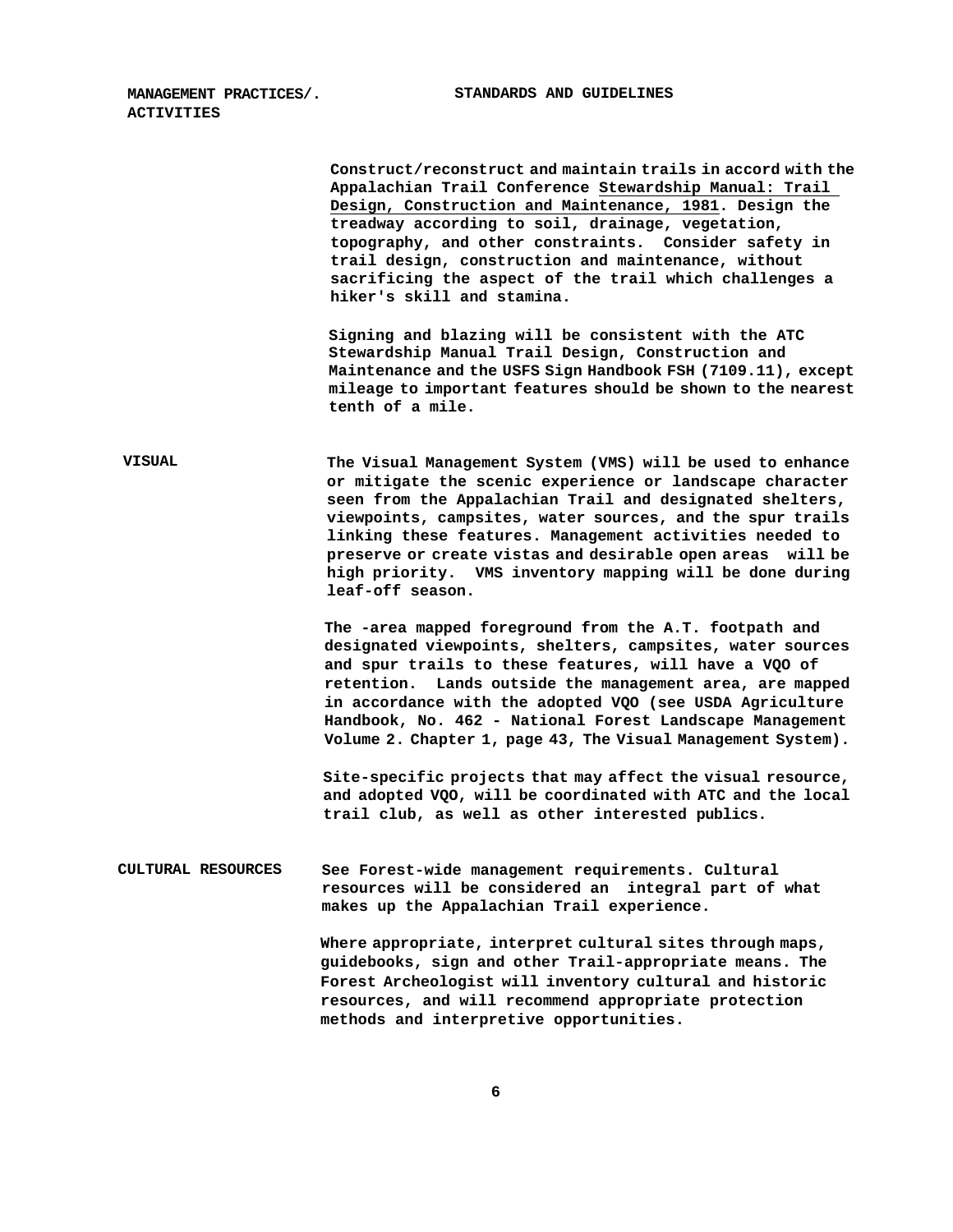**MANAGEMENT PRACTICES/. STANDARDS AND GUIDELINES ACTIVITIES**

|                    | Construct/reconstruct and maintain trails in accord with the<br>Appalachian Trail Conference Stewardship Manual: Trail<br>Design, Construction and Maintenance, 1981. Design the<br>treadway according to soil, drainage, vegetation,<br>topography, and other constraints. Consider safety in<br>trail design, construction and maintenance, without<br>sacrificing the aspect of the trail which challenges a<br>hiker's skill and stamina.            |
|--------------------|----------------------------------------------------------------------------------------------------------------------------------------------------------------------------------------------------------------------------------------------------------------------------------------------------------------------------------------------------------------------------------------------------------------------------------------------------------|
|                    | Signing and blazing will be consistent with the ATC<br>Stewardship Manual Trail Design, Construction and<br>Maintenance and the USFS Sign Handbook FSH (7109.11), except<br>mileage to important features should be shown to the nearest<br>tenth of a mile.                                                                                                                                                                                             |
| <b>VISUAL</b>      | The Visual Management System (VMS) will be used to enhance<br>or mitigate the scenic experience or landscape character<br>seen from the Appalachian Trail and designated shelters,<br>viewpoints, campsites, water sources, and the spur trails<br>linking these features. Management activities needed to<br>preserve or create vistas and desirable open areas will be<br>high priority. WMS inventory mapping will be done during<br>leaf-off season. |
|                    | The -area mapped foreground from the A.T. footpath and<br>designated viewpoints, shelters, campsites, water sources<br>and spur trails to these features, will have a VQO of<br>retention. Lands outside the management area, are mapped<br>in accordance with the adopted VQO (see USDA Agriculture<br>Handbook, No. 462 - National Forest Landscape Management<br>Volume 2. Chapter 1, page 43, The Visual Management System).                         |
|                    | Site-specific projects that may affect the visual resource,<br>and adopted VOO, will be coordinated with ATC and the local<br>trail club, as well as other interested publics.                                                                                                                                                                                                                                                                           |
| CULTURAL RESOURCES | See Forest-wide management requirements. Cultural<br>resources will be considered an integral part of what<br>makes up the Appalachian Trail experience.                                                                                                                                                                                                                                                                                                 |
|                    | Where appropriate, interpret cultural sites through maps,<br>guidebooks, sign and other Trail-appropriate means. The<br>Forest Archeologist will inventory cultural and historic<br>resources, and will recommend appropriate protection<br>methods and interpretive opportunities.                                                                                                                                                                      |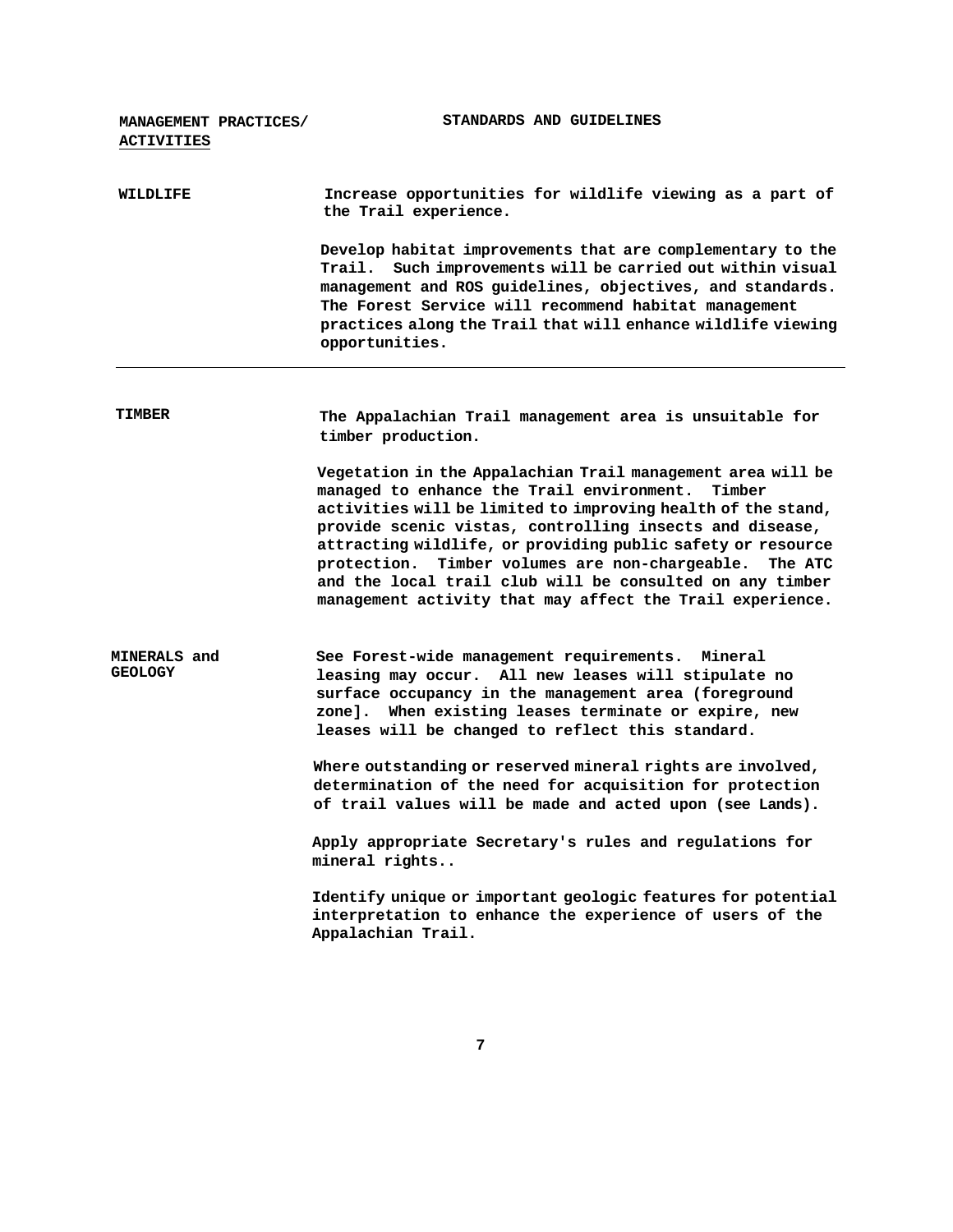| MANAGEMENT PRACTICES/<br><b>ACTIVITIES</b> | STANDARDS AND GUIDELINES                                                                                                                                                                                                                                                                                                                                                                                                                                                                              |
|--------------------------------------------|-------------------------------------------------------------------------------------------------------------------------------------------------------------------------------------------------------------------------------------------------------------------------------------------------------------------------------------------------------------------------------------------------------------------------------------------------------------------------------------------------------|
| <b>WILDLIFE</b>                            | Increase opportunities for wildlife viewing as a part of<br>the Trail experience.                                                                                                                                                                                                                                                                                                                                                                                                                     |
|                                            | Develop habitat improvements that are complementary to the<br>Trail. Such improvements will be carried out within visual<br>management and ROS guidelines, objectives, and standards.<br>The Forest Service will recommend habitat management<br>practices along the Trail that will enhance wildlife viewing<br>opportunities.                                                                                                                                                                       |
| <b>TIMBER</b>                              | The Appalachian Trail management area is unsuitable for<br>timber production.                                                                                                                                                                                                                                                                                                                                                                                                                         |
|                                            | Vegetation in the Appalachian Trail management area will be<br>managed to enhance the Trail environment.<br>Timber<br>activities will be limited to improving health of the stand,<br>provide scenic vistas, controlling insects and disease,<br>attracting wildlife, or providing public safety or resource<br>Timber volumes are non-chargeable.<br>protection.<br>The ATC<br>and the local trail club will be consulted on any timber<br>management activity that may affect the Trail experience. |
| MINERALS and<br><b>GEOLOGY</b>             | See Forest-wide management requirements. Mineral<br>leasing may occur. All new leases will stipulate no<br>surface occupancy in the management area (foreground<br>When existing leases terminate or expire, new<br>zonel.<br>leases will be changed to reflect this standard.                                                                                                                                                                                                                        |
|                                            | Where outstanding or reserved mineral rights are involved,<br>determination of the need for acquisition for protection<br>of trail values will be made and acted upon (see Lands).                                                                                                                                                                                                                                                                                                                    |
|                                            | Apply appropriate Secretary's rules and regulations for<br>mineral rights                                                                                                                                                                                                                                                                                                                                                                                                                             |
|                                            | Identify unique or important geologic features for potential<br>interpretation to enhance the experience of users of the<br>Appalachian Trail.                                                                                                                                                                                                                                                                                                                                                        |

**7**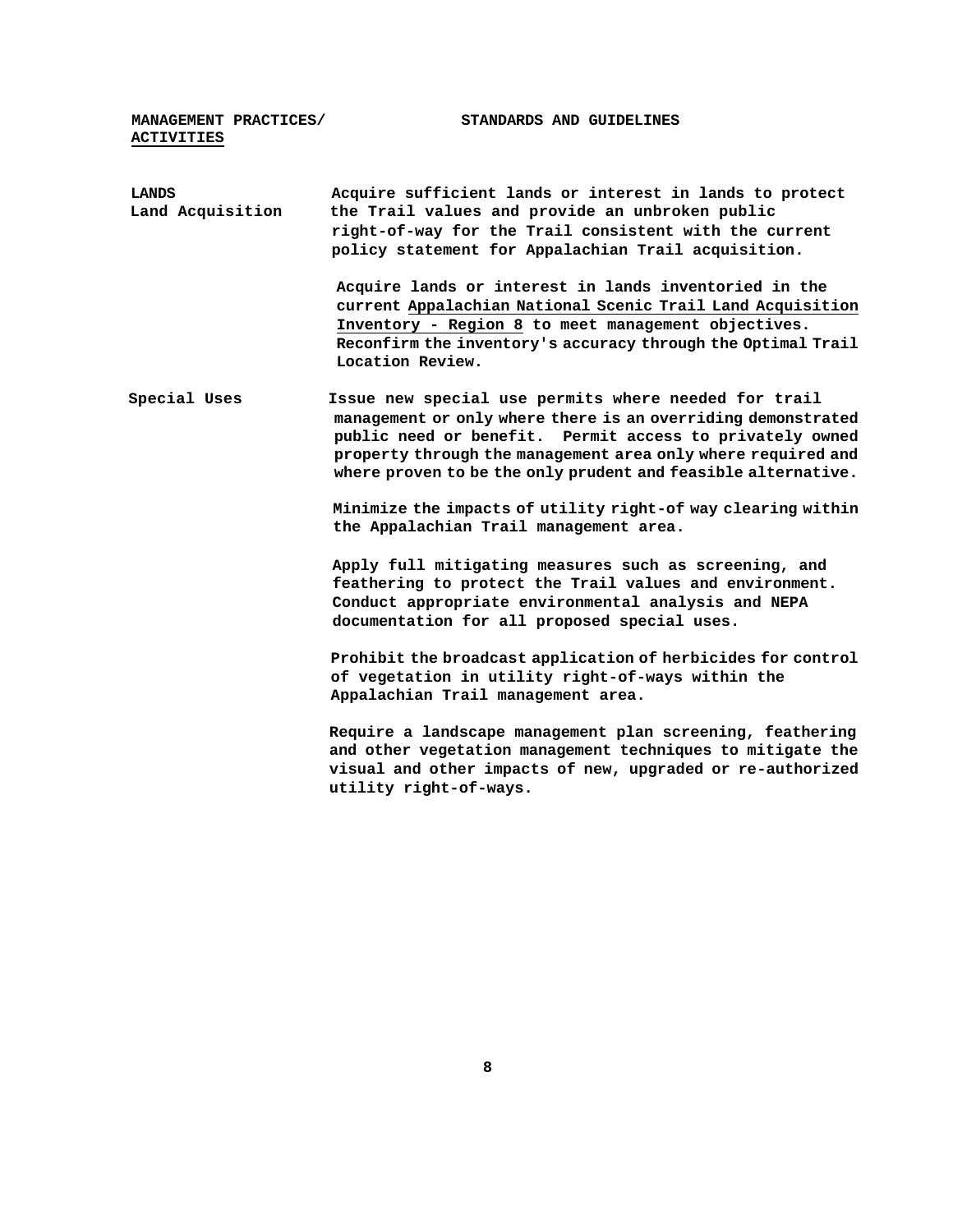**MANAGEMENT PRACTICES/ STANDARDS AND GUIDELINES ACTIVITIES**

| LANDS            | Acquire sufficient lands or interest in lands to protect                                                                                                                                                                                                                                                          |
|------------------|-------------------------------------------------------------------------------------------------------------------------------------------------------------------------------------------------------------------------------------------------------------------------------------------------------------------|
| Land Acquisition | the Trail values and provide an unbroken public                                                                                                                                                                                                                                                                   |
|                  | right-of-way for the Trail consistent with the current                                                                                                                                                                                                                                                            |
|                  | policy statement for Appalachian Trail acquisition.                                                                                                                                                                                                                                                               |
|                  | Acquire lands or interest in lands inventoried in the<br>current Appalachian National Scenic Trail Land Acquisition<br>Inventory - Region 8 to meet management objectives.<br>Reconfirm the inventory's accuracy through the Optimal Trail<br>Location Review.                                                    |
| Special Uses     | Issue new special use permits where needed for trail<br>management or only where there is an overriding demonstrated<br>public need or benefit. Permit access to privately owned<br>property through the management area only where required and<br>where proven to be the only prudent and feasible alternative. |
|                  | Minimize the impacts of utility right-of way clearing within<br>the Appalachian Trail management area.                                                                                                                                                                                                            |
|                  | Apply full mitigating measures such as screening, and<br>feathering to protect the Trail values and environment.<br>Conduct appropriate environmental analysis and NEPA<br>documentation for all proposed special uses.                                                                                           |
|                  | Prohibit the broadcast application of herbicides for control<br>of vegetation in utility right-of-ways within the<br>Appalachian Trail management area.                                                                                                                                                           |
|                  | Require a landscape management plan screening, feathering<br>and other vegetation management techniques to mitigate the<br>visual and other impacts of new, upgraded or re-authorized<br>utility right-of-ways.                                                                                                   |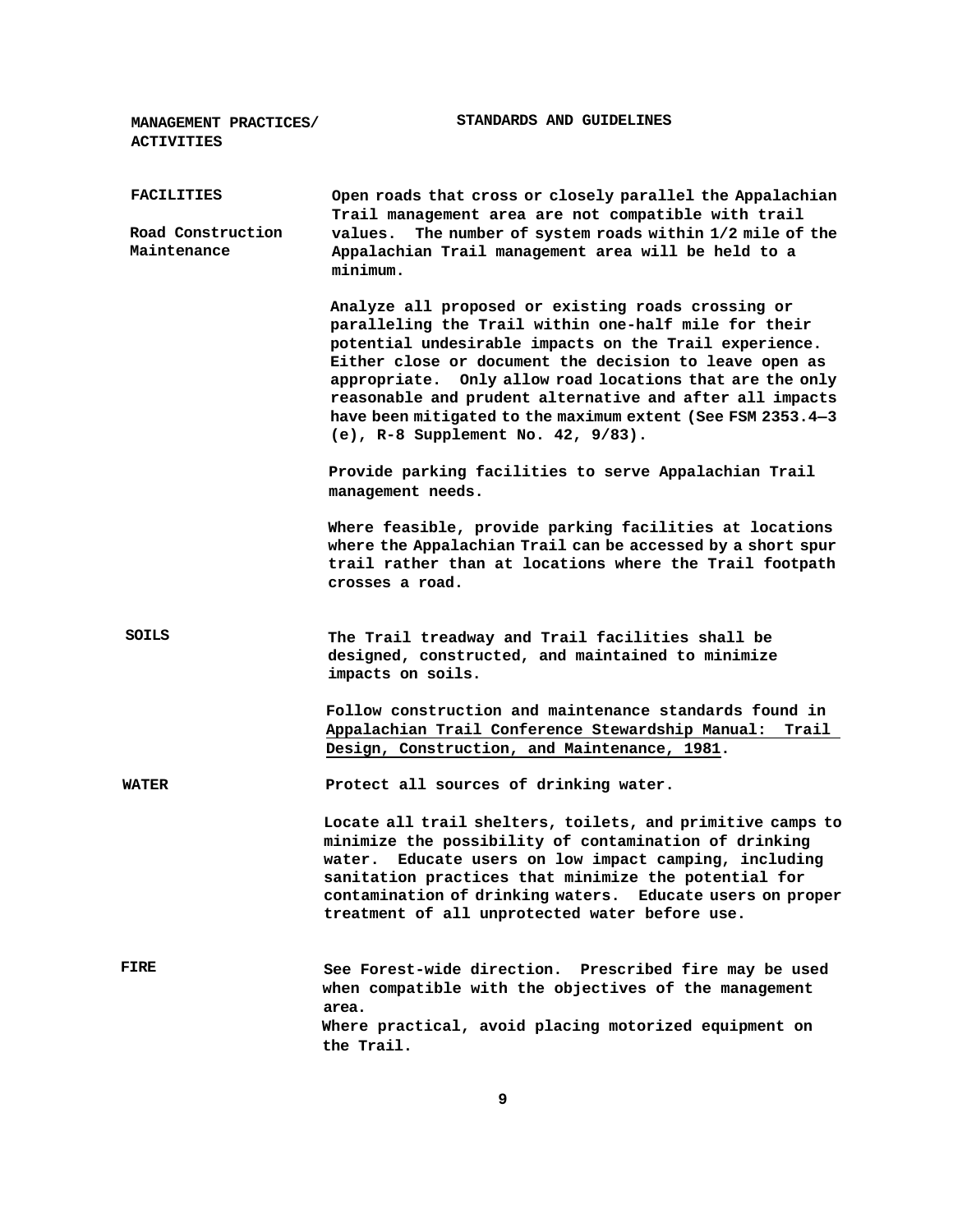**MANAGEMENT PRACTICES/ STANDARDS AND GUIDELINES ACTIVITIES**

| <b>FACILITIES</b><br>Road Construction<br>Maintenance | Open roads that cross or closely parallel the Appalachian<br>Trail management area are not compatible with trail<br>The number of system roads within 1/2 mile of the<br>values.<br>Appalachian Trail management area will be held to a<br>minimum.                                                                                                                                                                                                              |
|-------------------------------------------------------|------------------------------------------------------------------------------------------------------------------------------------------------------------------------------------------------------------------------------------------------------------------------------------------------------------------------------------------------------------------------------------------------------------------------------------------------------------------|
|                                                       | Analyze all proposed or existing roads crossing or<br>paralleling the Trail within one-half mile for their<br>potential undesirable impacts on the Trail experience.<br>Either close or document the decision to leave open as<br>appropriate. Only allow road locations that are the only<br>reasonable and prudent alternative and after all impacts<br>have been mitigated to the maximum extent (See FSM 2353.4-3<br>(e), $R-8$ Supplement No. 42, $9/83$ ). |
|                                                       | Provide parking facilities to serve Appalachian Trail<br>management needs.                                                                                                                                                                                                                                                                                                                                                                                       |
|                                                       | Where feasible, provide parking facilities at locations<br>where the Appalachian Trail can be accessed by a short spur<br>trail rather than at locations where the Trail footpath<br>crosses a road.                                                                                                                                                                                                                                                             |
| SOILS                                                 | The Trail treadway and Trail facilities shall be<br>designed, constructed, and maintained to minimize<br>impacts on soils.                                                                                                                                                                                                                                                                                                                                       |
|                                                       | Follow construction and maintenance standards found in<br>Appalachian Trail Conference Stewardship Manual:<br>Trail<br>Design, Construction, and Maintenance, 1981.                                                                                                                                                                                                                                                                                              |
| <b>WATER</b>                                          | Protect all sources of drinking water.                                                                                                                                                                                                                                                                                                                                                                                                                           |
|                                                       | Locate all trail shelters, toilets, and primitive camps to<br>minimize the possibility of contamination of drinking<br>water. Educate users on low impact camping, including<br>sanitation practices that minimize the potential for<br>contamination of drinking waters. Educate users on proper<br>treatment of all unprotected water before use.                                                                                                              |
| FIRE                                                  | See Forest-wide direction. Prescribed fire may be used<br>when compatible with the objectives of the management<br>area.<br>Where practical, avoid placing motorized equipment on<br>the Trail.                                                                                                                                                                                                                                                                  |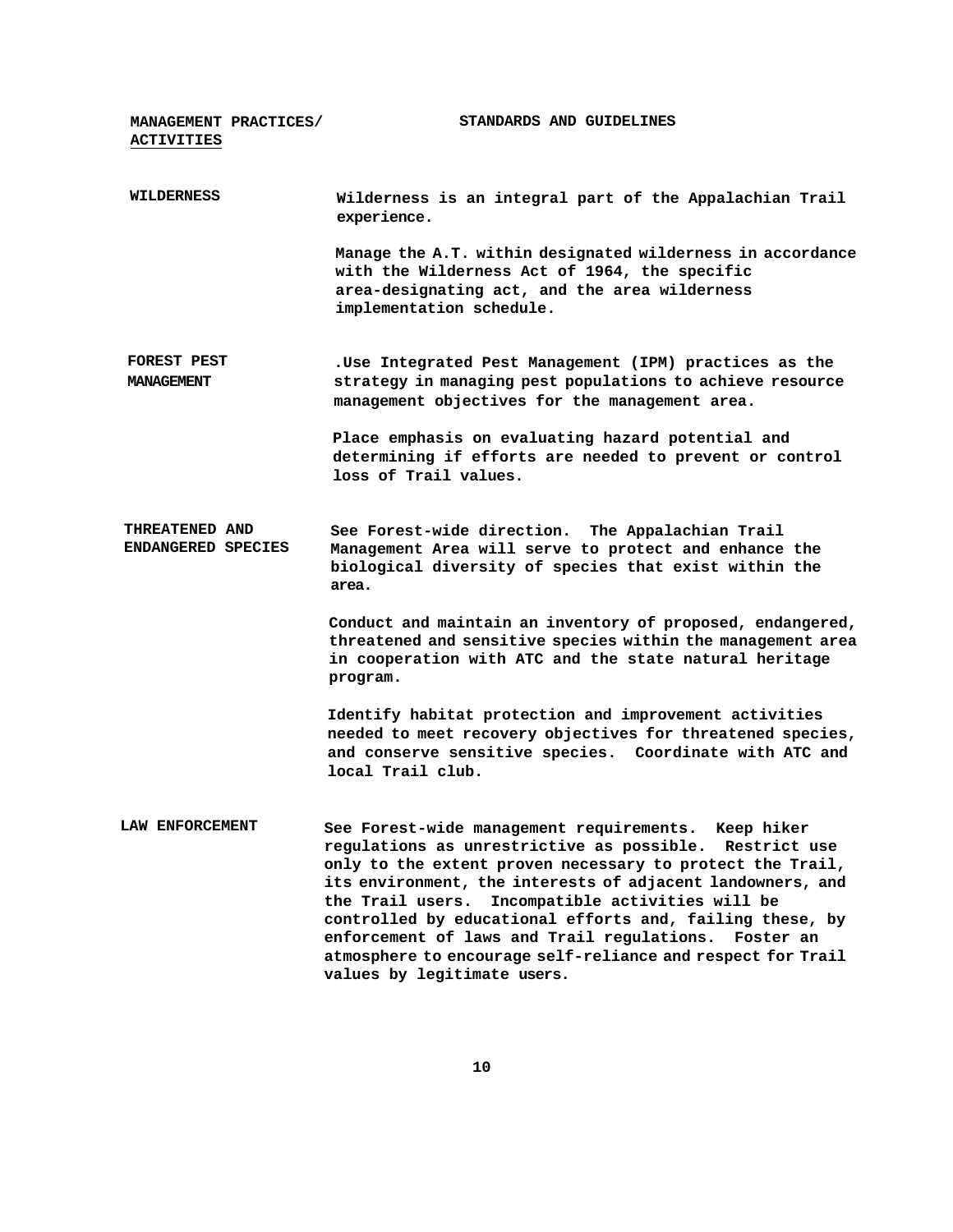**MANAGEMENT PRACTICES/ ACTIVITIES STANDARDS AND GUIDELINES WILDERNESS Wilderness is an integral part of the Appalachian Trail experience. Manage the A.T. within designated wilderness in accordance with the Wilderness Act of 1964, the specific area-designating act, and the area wilderness implementation schedule. FOREST PEST MANAGEMENT .Use Integrated Pest Management (IPM) practices as the strategy in managing pest populations to achieve resource management objectives for the management area. Place emphasis on evaluating hazard potential and determining if efforts are needed to prevent or control loss of Trail values. THREATENED AND ENDANGERED SPECIES See Forest-wide direction. The Appalachian Trail Management Area will serve to protect and enhance the biological diversity of species that exist within the area. Conduct and maintain an inventory of proposed, endangered, threatened and sensitive species within the management area in cooperation with ATC and the state natural heritage program. Identify habitat protection and improvement activities needed to meet recovery objectives for threatened species, and conserve sensitive species. Coordinate with ATC and local Trail club. LAW ENFORCEMENT See Forest-wide management requirements. Keep hiker regulations as unrestrictive as possible. Restrict use only to the extent proven necessary to protect the Trail, its environment, the interests of adjacent landowners, and the Trail users. Incompatible activities will be controlled by educational efforts and, failing these, by enforcement of laws and Trail regulations. Foster an atmosphere to encourage self-reliance and respect for Trail values by legitimate users.**